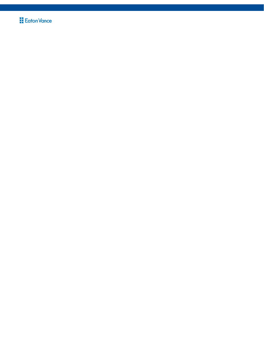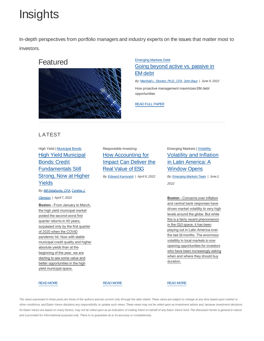# **Insights**

In-depth perspectives from portfolio managers and industry experts on the issues that matter most to investors.





### Emerging Markets Debt Going beyond active vs. passive in EM debt

By: Marshall L. Stocker, Ph.D., CFA, John Baur | June 9, 2022

How proactive management maximizes EM debt opportunities

READ FULL PAPER

# LATEST

### High Yield | Municipal Bonds High Yield Municipal Bonds: Credit Fundamentals Still Strong, Now at Higher Yields

By: **Bill Delahunty, CFA, Cynthia J.** 

Clemson | April 7, 2022

**Boston** - From January to March, the high yield municipal market posted the second-worst first quarter returns in 40 years, surpassed only by the first quarter of 2020 when the COVID pandemic hit. Now with stable municipal credit quality and higher absolute yields than at the beginning of the year, we are starting to see some value and better opportunities in the high yield municipal space.

Responsible Investing How Accounting for Impact Can Deliver the Real Value of ESG

By: Edward Kamonjoh | April 6, 2022

# Emerging Markets | Volatility Volatility and Inflation in Latin America: A Window Opens

By: **Emerging Markets Team** | June 1, 2022

**Boston** - Concerns over inflation and central bank responses have driven market volatility to very high levels around the globe. But while this is a fairly recent phenomenon in the G10 space, it has been playing out in Latin America over the last 18 months. The enormous volatility in local markets is now opening opportunities for investors who have been increasingly asking when and where they should buy duration.

#### READ MORE

READ MORE

READ MORE

The views expressed in these posts are those of the authors and are current only through the date stated. These views are subject to change at any time based upon market or other conditions, and Eaton Vance disclaims any responsibility to update such views. These views may not be relied upon as investment advice and, because investment decisions for Eaton Vance are based on many factors, may not be relied upon as an indication of trading intent on behalf of any Eaton Vance fund. The discussion herein is general in nature and is provided for informational purposes only. There is no guarantee as to its accuracy or completeness.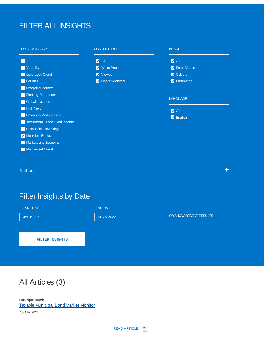# FILTER ALL INSIGHTS

#### TOPIC CATEGORY **All Volatility Leveraged Credit Equities Emerging Markets** Floating-Rate Loans **Global Investing High Yield Emerging Markets Debt Investment Grade Fixed Income** Responsible Investing Municipal Bonds Markets and Economy **Multi-Asset Credit** CONTENT TYPE **V** All **V** White Papers **V** Viewpoint **V** Market Monitors BRAND **LANGUAGE V** All **Z** Eaton Vance **Z** Calvert **Parametric Z** All **Z** English Authors in the contract of the contract of the contract of the contract of the contract of the contract  $\pm$

# Filter Insights by Date

#### START DATE

Dec 26, 2021

END DATE

**FILTER INSIGHTS**

Jun 26, 2022 **OR SHOW RECENT RESULTS** 

All Articles (3)

Municipal Bonds Taxable Municipal Bond Market Monitor April 28, 2022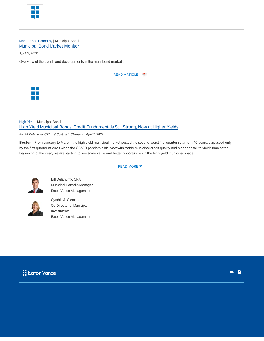

#### Markets and Economy | Municipal Bonds Municipal Bond Market Monitor

April 12, 2022

Overview of the trends and developments in the muni bond markets.

| <b>READ ARTICLE</b> |  |
|---------------------|--|
|---------------------|--|



#### **High Yield | Municipal Bonds** High Yield Municipal Bonds: Credit Fundamentals Still Strong, Now at Higher Yields

By: Bill Delahunty, CFA | & Cynthia J. Clemson | April 7, 2022

**Boston** - From January to March, the high yield municipal market posted the second-worst first quarter returns in 40 years, surpassed only by the first quarter of 2020 when the COVID pandemic hit. Now with stable municipal credit quality and higher absolute yields than at the beginning of the year, we are starting to see some value and better opportunities in the high yield municipal space.



Bill Delahunty, CFA Municipal Portfolio Manager Eaton Vance Management



Cynthia J. Clemson Co-Director of Municipal Investments Eaton Vance Management



#### **READ MORE ▼**

**a** 8